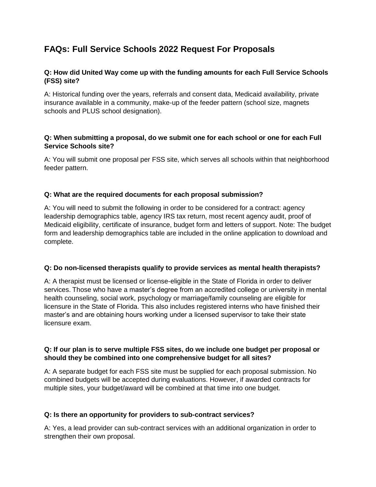# **FAQs: Full Service Schools 2022 Request For Proposals**

# **Q: How did United Way come up with the funding amounts for each Full Service Schools (FSS) site?**

A: Historical funding over the years, referrals and consent data, Medicaid availability, private insurance available in a community, make-up of the feeder pattern (school size, magnets schools and PLUS school designation).

# **Q: When submitting a proposal, do we submit one for each school or one for each Full Service Schools site?**

A: You will submit one proposal per FSS site, which serves all schools within that neighborhood feeder pattern.

# **Q: What are the required documents for each proposal submission?**

A: You will need to submit the following in order to be considered for a contract: agency leadership demographics table, agency IRS tax return, most recent agency audit, proof of Medicaid eligibility, certificate of insurance, budget form and letters of support. Note: The budget form and leadership demographics table are included in the online application to download and complete.

### **Q: Do non-licensed therapists qualify to provide services as mental health therapists?**

A: A therapist must be licensed or license-eligible in the State of Florida in order to deliver services. Those who have a master's degree from an accredited college or university in mental health counseling, social work, psychology or marriage/family counseling are eligible for licensure in the State of Florida. This also includes registered interns who have finished their master's and are obtaining hours working under a licensed supervisor to take their state licensure exam.

### **Q: If our plan is to serve multiple FSS sites, do we include one budget per proposal or should they be combined into one comprehensive budget for all sites?**

A: A separate budget for each FSS site must be supplied for each proposal submission. No combined budgets will be accepted during evaluations. However, if awarded contracts for multiple sites, your budget/award will be combined at that time into one budget.

### **Q: Is there an opportunity for providers to sub-contract services?**

A: Yes, a lead provider can sub-contract services with an additional organization in order to strengthen their own proposal.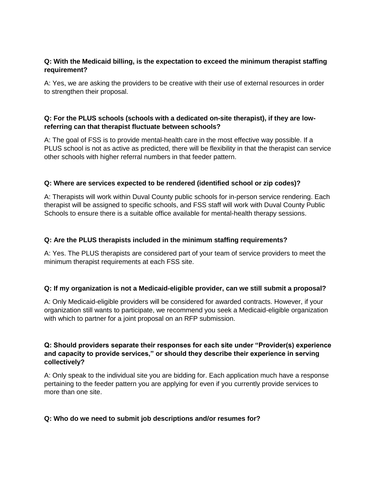# **Q: With the Medicaid billing, is the expectation to exceed the minimum therapist staffing requirement?**

A: Yes, we are asking the providers to be creative with their use of external resources in order to strengthen their proposal.

# **Q: For the PLUS schools (schools with a dedicated on-site therapist), if they are lowreferring can that therapist fluctuate between schools?**

A: The goal of FSS is to provide mental-health care in the most effective way possible. If a PLUS school is not as active as predicted, there will be flexibility in that the therapist can service other schools with higher referral numbers in that feeder pattern.

### **Q: Where are services expected to be rendered (identified school or zip codes)?**

A: Therapists will work within Duval County public schools for in-person service rendering. Each therapist will be assigned to specific schools, and FSS staff will work with Duval County Public Schools to ensure there is a suitable office available for mental-health therapy sessions.

### **Q: Are the PLUS therapists included in the minimum staffing requirements?**

A: Yes. The PLUS therapists are considered part of your team of service providers to meet the minimum therapist requirements at each FSS site.

### **Q: If my organization is not a Medicaid-eligible provider, can we still submit a proposal?**

A: Only Medicaid-eligible providers will be considered for awarded contracts. However, if your organization still wants to participate, we recommend you seek a Medicaid-eligible organization with which to partner for a joint proposal on an RFP submission.

# **Q: Should providers separate their responses for each site under "Provider(s) experience and capacity to provide services," or should they describe their experience in serving collectively?**

A: Only speak to the individual site you are bidding for. Each application much have a response pertaining to the feeder pattern you are applying for even if you currently provide services to more than one site.

### **Q: Who do we need to submit job descriptions and/or resumes for?**